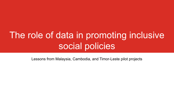# The role of data in promoting inclusive social policies

Lessons from Malaysia, Cambodia, and Timor-Leste pilot projects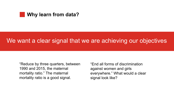#### **Why learn from data?**

# We want a clear signal that we are achieving our objectives

"Reduce by three quarters, between 1990 and 2015, the maternal mortality ratio." The maternal mortality ratio is a good signal.

"End all forms of discrimination against women and girls everywhere." What would a clear signal look like?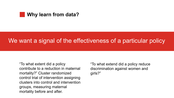#### **Why learn from data?**

# We want a signal of the effectiveness of a particular policy

"To what extent did a policy contribute to a reduction in maternal mortality?" Cluster randomized control trial of intervention assigning clusters into control and intervention groups, measuring maternal mortality before and after.

#### "To what extend did a policy reduce discrimination against women and

girls?"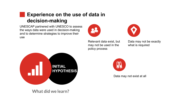### **Experience on the use of data in decision-making**

UNESCAP partnered with UNESCO to assess the ways data were used in decision-making and to determine strategies to improve their use



Relevant data exist, but may not be used in the policy process Data may not be exactly what is required

Data may not exist at all



What did we learn?



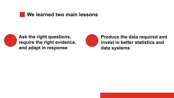#### **We learned two main lessons**



**Ask the right questions, require the right evidence, and adapt in response**



#### **Produce the data required and invest in better statistics and data systems**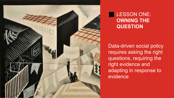### LESSON ONE: **OWNING THE QUESTION**



Data-driven social policy requires asking the right questions, requiring the right evidence and adapting in response to evidence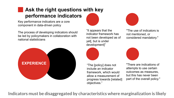## **Ask the right questions with key performance indicators**

Key performance indicators are a core component in data-driven policy

The process of developing indicators should be led by policymakers in collaboration with national statisticians

"It appears that the indicator framework has not been developed as of yet[, but is under development]"



"The [policy] does not include an indicator framework, which would allow a measurement of progress towards [related] objectives."

Indicators must be disaggregated by characteristics where marginalization is likely



"The use of indicators is not mentioned, or considered mandatory."



"There are indications of attempts to use certain outcomes as measures, but this has never been part of the overall policy."

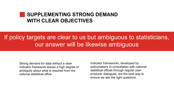### **SUPPLEMENTING STRONG DEMAND WITH CLEAR OBJECTIVES**

Strong demand for data without a clear indicator framework leaves a high degree of ambiguity about what is required from the national statistical office

# If policy targets are clear to us but ambiguous to statisticians, our answer will be likewise ambiguous

Indicator frameworks, developed by policymakers in consultation with national statistical offices through regular userproducer dialogues, are the best way to ensure we ask the right questions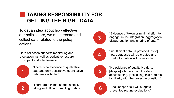## **TAKING RESPONSIBILITY FOR GETTING THE RIGHT DATA**

**5**

**2**

**1**

To get an idea about how effective our policies are, we must record and collect data related to the policy actions

> "There are minimal efforts in stocktaking and official compiling of data."

"There is no evidence of qualitative data and only descriptive quantitative data are available."

"No evidence of qualitative data; [despite] a large amount of data accumulating, [accessing] this requires familiarity with the project in question."

Data collection supports monitoring and evaluation, as well as derivative research on impact and effectiveness

> **6** "Lack of specific M&E budgets prevented routine evaluations"

**3**

**4**

"Evidence of token or minimal effort to engage [in the integration, aggregation, disaggregation and sharing of data.]"

"Insufficient detail is provided [as to] how databases will be created and what information will be recorded."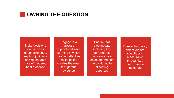#### **OWNING THE QUESTION**

Make decisions on the basis of conscientious, explicit, judicious and reasonable use of modern, best evidence

Engage in a process of problem-based learning in which crafting effective social policy creates the need for rigorous evidence

Ensure that relevant data, including key performance indicators, are selected and can be produced by allocating resources

Ensure that policy objectives are specific and measurable through key performance indicators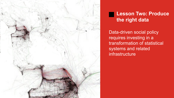#### **Lesson Two: Produce the right data**



Data-driven social policy requires investing in a transformation of statistical systems and related infrastructure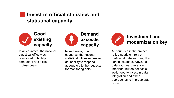#### **Invest in official statistics and statistical capacity**



In all countries, the national statistical office was composed of highlycompetent and skilled professionals

#### **Good existing capacity**





- 
- 
- 

Nonetheless, in all countries, the national statistical offices expressed an inability to respond adequately to the requests for monitoring data

All countries in the project relied nearly entirely on traditional data sources, like censuses and surveys, as data sources; these are important but do not scale well; need to invest in data integration and other approaches to improve data reuse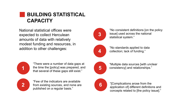### **BUILDING STATISTICAL CAPACITY**





National statistical offices were expected to collect Herculean amounts of data with relatively modest funding and resources, in addition to other challenges:

> "Few of the indicators are available from existing sources, and none are published on a regular basis."

"There were a number of data gaps at the time the [policy] was prepared, and that several of these gaps still exist."

**5** "Multiple data sources [with unclear consistency] and relationships." **6** "[Complications arose from the application of] different definitions and concepts related to [the policy issue]." **3 4** "No consistent definitions [on the policy issue] used across the national statistical system." "No standards applied to data collection; lack of funding."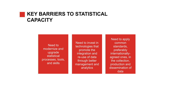#### **KEY BARRIERS TO STATISTICAL CAPACITY**

Need to modernize and upgrade statistical processes, tools, and skills

Need to invest in technologies that promote the integration and re-use of data through better management and analytics

Need to apply common standards, preferably internationallyagreed ones, in the collection, production and dissemination of data